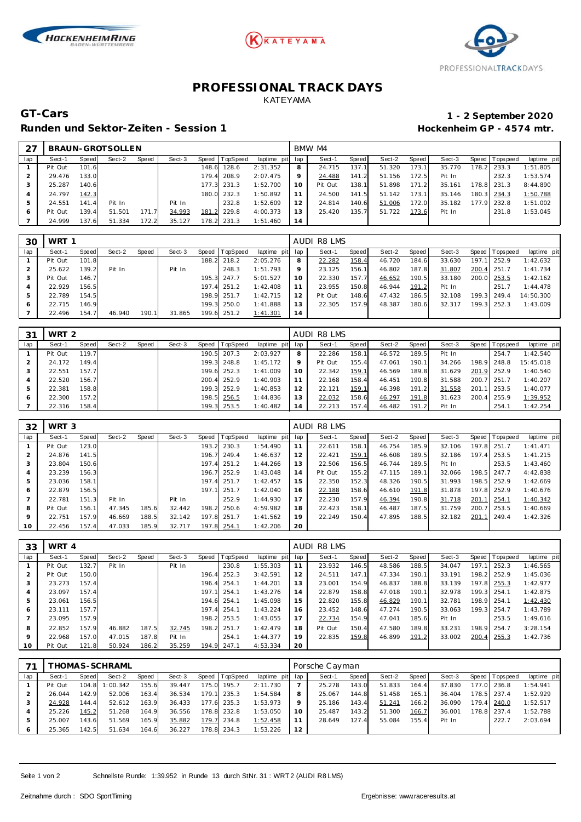





## **PROFESSIONAL TRACK DAYS** KATEYAMA

Runden und Sektor-Zeiten - Session 1 **an alle als extension 1 Hockenheim GP** - 4574 mtr.

## **GT-Cars 1 - 2 September 2020**

|     |         |       | BRAUN-GROTSOLLEN |       |        |       |             |             |     | BMW M4  |       |        |       |        |       |                |             |
|-----|---------|-------|------------------|-------|--------|-------|-------------|-------------|-----|---------|-------|--------|-------|--------|-------|----------------|-------------|
| lap | Sect-1  | Speed | Sect-2           | Speed | Sect-3 | Speed | TopSpeed    | laptime pit | lap | Sect-1  | Speed | Sect-2 | Speed | Sect-3 |       | Speed Topspeed | laptime pit |
|     | Pit Out | 101.6 |                  |       |        | 148.6 | 128.6       | 2:31.352    | 8   | 24.715  | 137.1 | 51.320 | 173.1 | 35.770 | 178.2 | 233.3          | 1:51.805    |
|     | 29.476  | 133.0 |                  |       |        |       | 179.4 208.9 | 2:07.475    |     | 24.488  | 141.2 | 51.156 | 172.5 | Pit In |       | 232.3          | 1:53.574    |
|     | 25.287  | 140.6 |                  |       |        |       | 177.3 231.3 | 1:52.700    | 10  | Pit Out | 138.1 | 51.898 | 171.2 | 35.161 |       | 178.8 231.3    | 8:44.890    |
|     | 24.797  | 142.3 |                  |       |        | 180.0 | 232.3       | 1:50.892    |     | 24.500  | 141.5 | 51.142 | 173.1 | 35.146 |       | 180.3 234.3    | 1:50.788    |
|     | 24.551  | 141.4 | Pit In           |       | Pit In |       | 232.8       | 1:52.609    | 12  | 24.814  | 140.6 | 51.006 | 172.0 | 35.182 |       | 177.9 232.8    | 1:51.002    |
| 6   | Pit Out | 139.4 | 51.501           | 171.7 | 34.993 | 181.2 | 229.8       | 4:00.373    |     | 25.420  | 135.7 | 51.722 | 173.6 | Pit In |       | 231.8          | 1:53.045    |
|     | 24.999  | 137.6 | 51.334           | 172.2 | 35.127 | 178.2 | 231.3       | 1:51.460    | 14  |         |       |        |       |        |       |                |             |

| 30  | WRT 1   |       |        |       |        |       |             |             |     | AUDI R8 LMS |       |        |       |        |       |                 |             |
|-----|---------|-------|--------|-------|--------|-------|-------------|-------------|-----|-------------|-------|--------|-------|--------|-------|-----------------|-------------|
| lap | Sect-1  | Speed | Sect-2 | Speed | Sect-3 | Speed | TopSpeed    | laptime pit | lap | Sect-1      | Speed | Sect-2 | Speed | Sect-3 |       | Speed Tops peed | laptime pit |
|     | Pit Out | 101.8 |        |       |        | 188.2 | 218.2       | 2:05.276    | 8   | 22.282      | 158.4 | 46.720 | 184.6 | 33.630 | 197.1 | 252.9           | 1:42.632    |
|     | 25.622  | 139.2 | Pit In |       | Pit In |       | 248.3       | 1:51.793    | 9   | 23.125      | 156.1 | 46.802 | 187.8 | 31.807 | 200.4 | 251.7           | 1:41.734    |
|     | Pit Out | 146.7 |        |       |        |       | 195.3 247.7 | 5:01.527    |     | 22.330      | 157.7 | 46.652 | 190.5 | 33.180 |       | 200.0 253.5     | 1:42.162    |
|     | 22.929  | 156.5 |        |       |        |       | 197.4 251.2 | 1:42.408    |     | 23.955      | 150.8 | 46.944 | 191.2 | Pit In |       | 251.7           | 1:44.478    |
| 5   | 22.789  | 154.5 |        |       |        |       | 198.9 251.7 | 1:42.715    | 12  | Pit Out     | 148.6 | 47.432 | 186.5 | 32.108 | 199.3 | 249.4           | 14:50.300   |
| 6   | 22.715  | 146.9 |        |       |        |       | 199.3 250.0 | 1:41.888    | 13  | 22.305      | 157.9 | 48.387 | 180.6 | 32.317 | 199.3 | 252.3           | 1:43.009    |
|     | 22.496  | 154.7 | 46.940 | 190.1 | 31.865 |       | 199.6 251.2 | 1:41.301    | 14  |             |       |        |       |        |       |                 |             |

| 31  | WRT <sub>2</sub> |       |        |       |        |       |             |             |     | AUDI R8 LMS |       |        |       |        |       |                 |             |
|-----|------------------|-------|--------|-------|--------|-------|-------------|-------------|-----|-------------|-------|--------|-------|--------|-------|-----------------|-------------|
| lap | Sect-1           | Speed | Sect-2 | Speed | Sect-3 | Speed | TopSpeed    | laptime pit | lap | Sect-1      | Speed | Sect-2 | Speed | Sect-3 |       | Speed Tops peed | laptime pit |
|     | Pit Out          | 119.7 |        |       |        | 190.5 | 207.3       | 2:03.927    | 8   | 22.286      | 158.1 | 46.572 | 189.5 | Pit In |       | 254.7           | 1:42.540    |
|     | 24.172           | 149.4 |        |       |        |       | 199.3 248.8 | 1:45.172    | 9   | Pit Out     | 155.4 | 47.061 | 190.1 | 34.266 | 198.9 | 248.8           | 15:45.018   |
|     | 22.551           | 157.7 |        |       |        |       | 199.6 252.3 | 1:41.009    | 10  | 22.342      | 159.1 | 46.569 | 189.8 | 31.629 |       | 201.9 252.9     | 1:40.540    |
| 4   | 22.520           | 156.7 |        |       |        |       | 200.4 252.9 | 1:40.903    | 11  | 22.168      | 158.4 | 46.451 | 190.8 | 31.588 |       | 200.7 251.7     | 1:40.207    |
| 5   | 22.381           | 158.8 |        |       |        |       | 199.3 252.9 | 1:40.853    | 12  | 22.121      | 159.1 | 46.398 | 191.2 | 31.558 |       | 201.1 253.5     | 1:40.077    |
|     | 22.300           | 157.2 |        |       |        | 198.5 | 256.5       | 1:44.836    | 13  | 22.032      | 158.6 | 46.297 | 191.8 | 31.623 |       | 200.4 255.9     | 1:39.952    |
|     | 22.316           | 158.4 |        |       |        |       | 199.3 253.5 | 1:40.482    | 14  | 22.213      | 157.4 | 46.482 | 191.2 | Pit In |       | 254.1           | 1:42.254    |

| 32  | WRT <sub>3</sub> |       |        |       |        |       |          |                 |    | AUDI R8 LMS |       |        |       |        |       |                   |             |
|-----|------------------|-------|--------|-------|--------|-------|----------|-----------------|----|-------------|-------|--------|-------|--------|-------|-------------------|-------------|
| lap | Sect-1           | Speed | Sect-2 | Speed | Sect-3 | Speed | TopSpeed | laptime pit lap |    | Sect-1      | Speed | Sect-2 | Speed | Sect-3 |       | Speed   Tops peed | laptime pit |
|     | Pit Out          | 123.0 |        |       |        | 193.2 | 230.3    | 1:54.490        | 11 | 22.611      | 158.1 | 46.754 | 185.9 | 32.106 | 197.8 | 251.7             | 1: 41.471   |
|     | 24.876           | 141.5 |        |       |        | 196.7 | 249.4    | 1:46.637        | 12 | 22.421      | 159.1 | 46.608 | 189.5 | 32.186 | 197.4 | 253.5             | 1:41.215    |
|     | 23.804           | 150.6 |        |       |        | 197.4 | 251.2    | 1:44.266        | 13 | 22.506      | 156.5 | 46.744 | 189.5 | Pit In |       | 253.5             | 1:43.460    |
|     | 23.239           | 156.3 |        |       |        | 196.7 | 252.9    | 1:43.048        | 14 | Pit Out     | 155.2 | 47.115 | 189.1 | 32.066 | 198.5 | 247.7             | 4:42.838    |
|     | 23.036           | 158.1 |        |       |        | 197.4 | 251.7    | 1:42.457        | 15 | 22.350      | 152.3 | 48.326 | 190.5 | 31.993 | 198.5 | 252.9             | 1:42.669    |
| 6   | 22.879           | 156.5 |        |       |        | 197.1 | 251.7    | 1:42.040        | 16 | 22.188      | 158.6 | 46.610 | 191.8 | 31.878 | 197.8 | 252.9             | 1:40.676    |
|     | 22.781           | 151.3 | Pit In |       | Pit In |       | 252.9    | 1:44.930        | 17 | 22.230      | 157.9 | 46.394 | 190.8 | 31.718 | 201.7 | 254.1             | 1:40.342    |
| 8   | Pit Out          | 156.1 | 47.345 | 185.6 | 32.442 | 198.2 | 250.6    | 4:59.982        | 18 | 22.423      | 158.1 | 46.487 | 187.5 | 31.759 | 200.7 | 253.5             | 1:40.669    |
| 9   | 22.751           | 157.9 | 46.669 | 188.5 | 32.142 | 197.8 | 251.7    | 1:41.562        | 19 | 22.249      | 150.4 | 47.895 | 188.5 | 32.182 | 201.1 | 249.4             | 1:42.326    |
| 10  | 22.456           | 157.4 | 47.033 | 185.9 | 32.717 | 197.8 | 254.1    | 1:42.206        | 20 |             |       |        |       |        |       |                   |             |

| 33             | WRT 4   |       |        |       |        |       |             |                 |    | AUDI R8 LMS |       |        |       |        |       |                |             |
|----------------|---------|-------|--------|-------|--------|-------|-------------|-----------------|----|-------------|-------|--------|-------|--------|-------|----------------|-------------|
| lap            | Sect-1  | Speed | Sect-2 | Speed | Sect-3 | Speed | TopSpeed    | laptime pit lap |    | Sect-1      | Speed | Sect-2 | Speed | Sect-3 |       | Speed Topspeed | laptime pit |
|                | Pit Out | 132.7 | Pit In |       | Pit In |       | 230.8       | 1:55.303        | 11 | 23.932      | 146.5 | 48.586 | 188.5 | 34.047 | 197.1 | 252.3          | 1:46.565    |
|                | Pit Out | 150.0 |        |       |        |       | 196.4 252.3 | 3:42.591        | 12 | 24.511      | 147.1 | 47.334 | 190.1 | 33.191 |       | 198.2 252.9    | 1:45.036    |
| 3              | 23.273  | 157.4 |        |       |        |       | 196.4 254.1 | 1:44.201        | 13 | 23.001      | 154.9 | 46.837 | 188.8 | 33.139 | 197.8 | 255.3          | 1:42.977    |
| $\overline{A}$ | 23.097  | 157.4 |        |       |        |       | 197.1 254.1 | 1:43.276        | 14 | 22.879      | 158.8 | 47.018 | 190.1 | 32.978 | 199.3 | 254.1          | 1:42.875    |
| 5              | 23.061  | 156.5 |        |       |        |       | 194.6 254.1 | 1:45.098        | 15 | 22.820      | 155.8 | 46.829 | 190.1 | 32.781 |       | 198.9 254.1    | 1:42.430    |
| 6              | 23.111  | 157.7 |        |       |        |       | 197.4 254.1 | 1:43.224        | 16 | 23.452      | 148.6 | 47.274 | 190.5 | 33.063 | 199.3 | 254.7          | 1:43.789    |
|                | 23.095  | 157.9 |        |       |        |       | 198.2 253.5 | 1:43.055        | 17 | 22.734      | 154.9 | 47.041 | 185.6 | Pit In |       | 253.5          | 1:49.616    |
| 8              | 22.852  | 157.9 | 46.882 | 187.5 | 32.745 |       | 198.2 251.7 | 1:42.479        | 18 | Pit Out     | 150.4 | 47.580 | 189.8 | 33.231 | 198.9 | 254.7          | 3:28.154    |
| 9              | 22.968  | 157.0 | 47.015 | 187.8 | Pit In |       | 254.1       | 1:44.377        | 19 | 22.835      | 159.8 | 46.899 | 191.2 | 33.002 | 200.4 | 255.3          | 1:42.736    |
| 10             | Pit Out | 121.8 | 50.924 | 186.2 | 35.259 |       | 194.9 247.1 | 4:53.334        | 20 |             |       |        |       |        |       |                |             |

|     |         |       | HOMAS-SCHRAML <sup>-</sup> |       |        |       |                |                 |    | Porsche Cayman |       |        |       |        |       |                 |             |
|-----|---------|-------|----------------------------|-------|--------|-------|----------------|-----------------|----|----------------|-------|--------|-------|--------|-------|-----------------|-------------|
| lap | Sect-1  | Speed | Sect-2                     | Speed | Sect-3 |       | Speed TopSpeed | laptime pit lap |    | Sect-1         | Speed | Sect-2 | Speed | Sect-3 |       | Speed Tops peed | laptime pit |
|     | Pit Out | 104.8 | 1:00.342                   | 155.6 | 39.447 | 175.0 | 195.7          | 2:11.730        |    | 25.278         | 143.0 | 51.833 | 164.4 | 37.830 |       | 177.0 236.8     | 1:54.941    |
|     | 26.044  | 142.9 | 52.006                     | 163.4 | 36.534 | 179.1 | 235.3          | 1:54.584        | 8  | 25.067         | 144.8 | 51.458 | 165.1 | 36.404 |       | 178.5 237.4     | 1:52.929    |
|     | 24.928  | 144.4 | 52.612                     | 163.9 | 36.433 | 177.6 | 235.3          | 1:53.973        | 9  | 25.186         | 143.4 | 51.241 | 166.2 | 36.090 | 179.4 | 240.0           | 1:52.517    |
|     | 25.226  | 145.2 | 51.268                     | 164.9 | 36.556 |       | 178.8 232.8    | 1:53.050        | 10 | 25.487         | 143.2 | 51.300 | 166.7 | 36.001 |       | 178.8 237.4     | 1:52.788    |
|     | 25.007  | 143.6 | 51.569                     | 165.9 | 35.882 | 179.7 | 234.8          | 1:52.458        |    | 28.649         | 127.4 | 55.084 | 155.4 | Pit In |       | 222.7           | 2:03.694    |
| 6   | 25.365  | 142.5 | 51.634                     | 164.6 | 36.227 | 178.8 | 234.3          | 1:53.226        | 12 |                |       |        |       |        |       |                 |             |